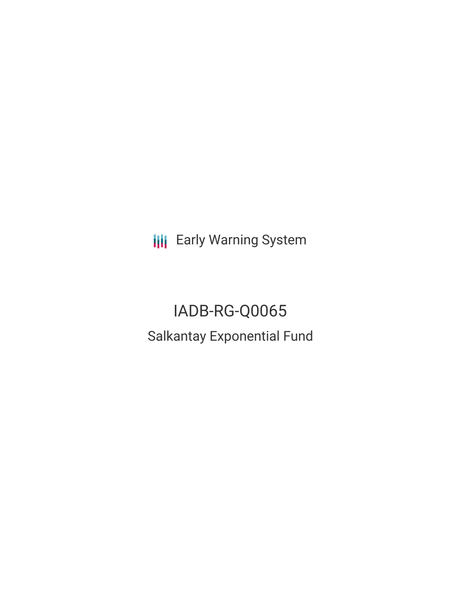**III** Early Warning System

IADB-RG-Q0065 Salkantay Exponential Fund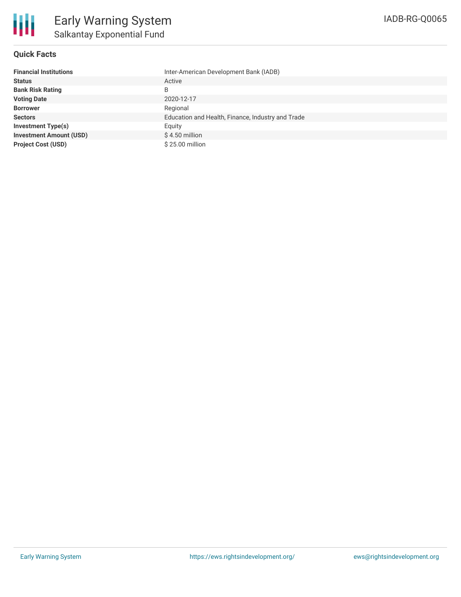

## **Quick Facts**

| <b>Financial Institutions</b>  | Inter-American Development Bank (IADB)            |
|--------------------------------|---------------------------------------------------|
| <b>Status</b>                  | Active                                            |
| <b>Bank Risk Rating</b>        | B                                                 |
| <b>Voting Date</b>             | 2020-12-17                                        |
| <b>Borrower</b>                | Regional                                          |
| <b>Sectors</b>                 | Education and Health, Finance, Industry and Trade |
| <b>Investment Type(s)</b>      | Equity                                            |
| <b>Investment Amount (USD)</b> | \$4.50 million                                    |
| <b>Project Cost (USD)</b>      | \$25.00 million                                   |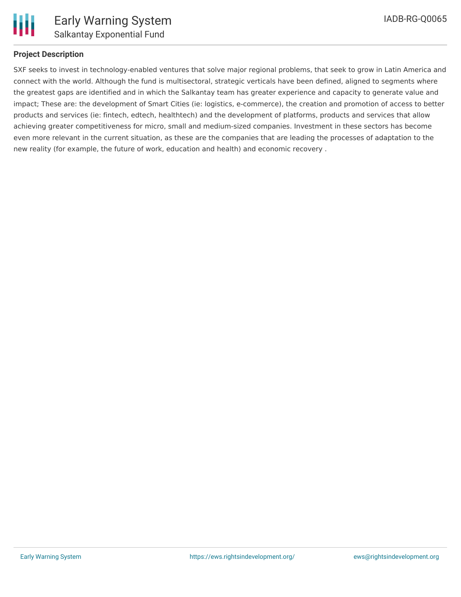

### **Project Description**

SXF seeks to invest in technology-enabled ventures that solve major regional problems, that seek to grow in Latin America and connect with the world. Although the fund is multisectoral, strategic verticals have been defined, aligned to segments where the greatest gaps are identified and in which the Salkantay team has greater experience and capacity to generate value and impact; These are: the development of Smart Cities (ie: logistics, e-commerce), the creation and promotion of access to better products and services (ie: fintech, edtech, healthtech) and the development of platforms, products and services that allow achieving greater competitiveness for micro, small and medium-sized companies. Investment in these sectors has become even more relevant in the current situation, as these are the companies that are leading the processes of adaptation to the new reality (for example, the future of work, education and health) and economic recovery .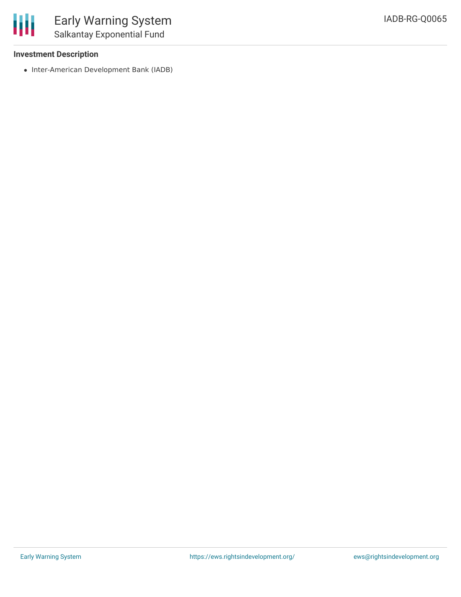

### **Investment Description**

• Inter-American Development Bank (IADB)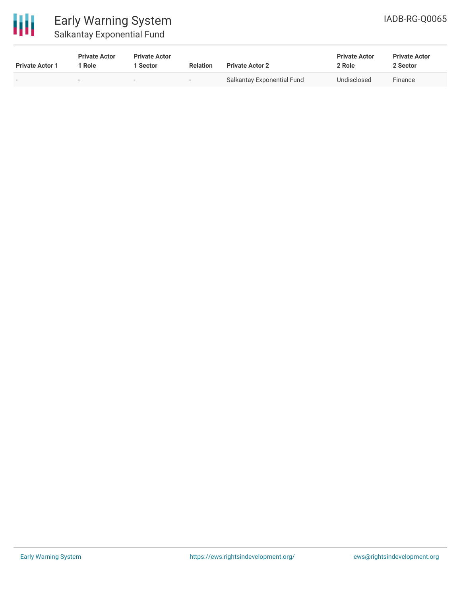

# Early Warning System Salkantay Exponential Fund

| <b>Private Actor 1</b>   | <b>Private Actor</b><br><sup>1</sup> Role | <b>Private Actor</b><br>l Sector | <b>Relation</b>          | <b>Private Actor 2</b>     | <b>Private Actor</b><br>2 Role | <b>Private Actor</b><br>2 Sector |  |
|--------------------------|-------------------------------------------|----------------------------------|--------------------------|----------------------------|--------------------------------|----------------------------------|--|
| $\overline{\phantom{0}}$ | $\sim$                                    | $\overline{\phantom{0}}$         | $\overline{\phantom{0}}$ | Salkantay Exponential Fund | Undisclosed                    | Finance                          |  |